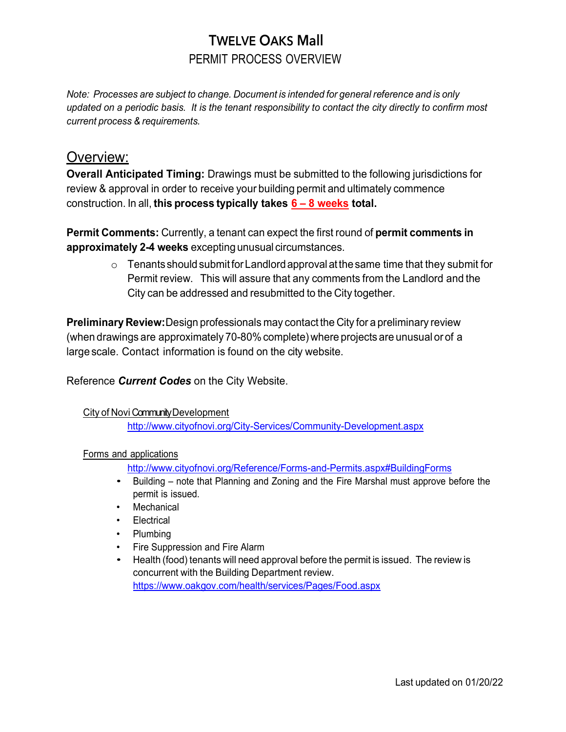# TWELVE OAKS Mall PERMIT PROCESS OVERVIEW

*Note: Processes are subject to change. Document is intended for general reference and is only updated on a periodic basis. It is the tenant responsibility to contact the city directly to confirm most current process & requirements.*

### Overview:

**Overall Anticipated Timing:** Drawings must be submitted to the following jurisdictions for review & approval in order to receive your building permit and ultimately commence construction. In all, **this process typically takes 6 – 8 weeks total.**

**Permit Comments:** Currently, a tenant can expect the first round of **permit comments in approximately 2-4 weeks** excepting unusual circumstances.

> $\circ$  Tenants should submit for Landlord approval at the same time that they submit for Permit review. This will assure that any comments from the Landlord and the City can be addressed and resubmitted to the City together.

**Preliminary Review:**Design professionals may contact the City for a preliminary review (when drawings are approximately 70-80% complete) where projects are unusual or of a large scale. Contact information is found on the city website.

Reference *Current Codes* on the City Website.

#### City of Novi Community Development

<http://www.cityofnovi.org/City-Services/Community-Development.aspx>

#### Forms and applications

<http://www.cityofnovi.org/Reference/Forms-and-Permits.aspx#BuildingForms>

- Building note that Planning and Zoning and the Fire Marshal must approve before the permit is issued.
- **Mechanical**
- Electrical
- Plumbing
- Fire Suppression and Fire Alarm
- Health (food) tenants will need approval before the permit is issued. The review is concurrent with the Building Department review. https:/[/www.oakgov.com/health/services/Pages/Food.aspx](http://www.oakgov.com/health/services/Pages/Food.aspx)